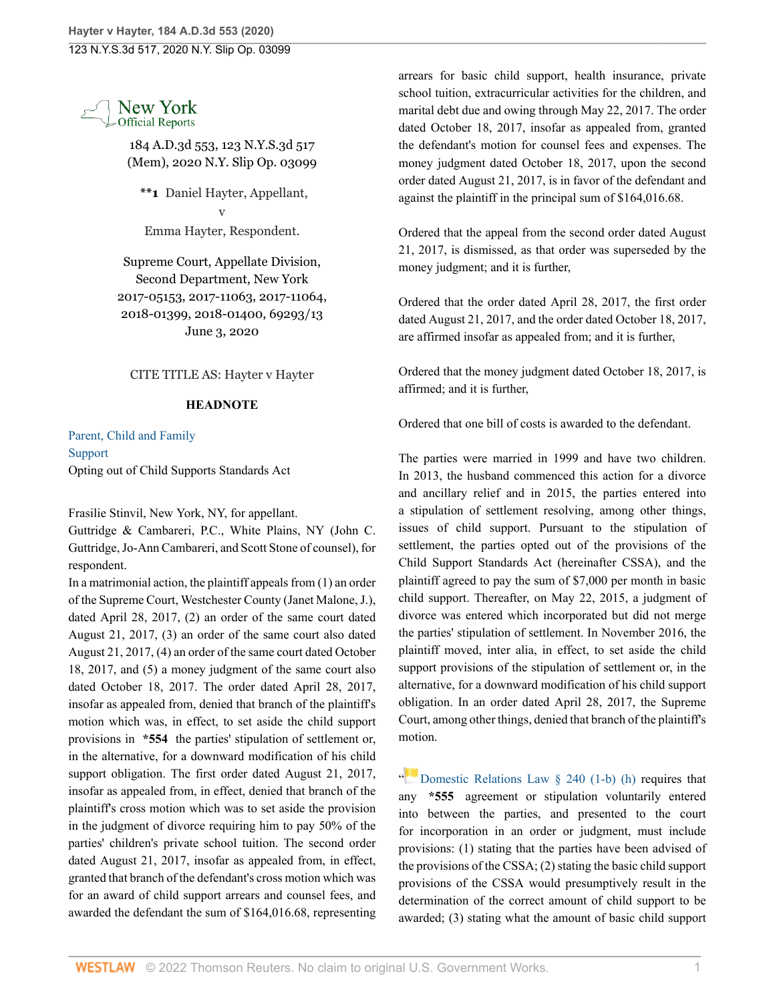

184 A.D.3d 553, 123 N.Y.S.3d 517 (Mem), 2020 N.Y. Slip Op. 03099

**\*\*1** Daniel Hayter, Appellant, v Emma Hayter, Respondent.

Supreme Court, Appellate Division, Second Department, New York 2017-05153, 2017-11063, 2017-11064, 2018-01399, 2018-01400, 69293/13 June 3, 2020

CITE TITLE AS: Hayter v Hayter

## **HEADNOTE**

[Parent, Child and Family](http://www.westlaw.com/Browse/Home/NYOKeyNumber/NY00000012168/View.html?docGuid=I51a7a080a5c211eaae75b4390cd8e312&contentType=nyoDigest2and3&originationContext=document&transitionType=Document&vr=3.0&rs=cblt1.0&contextData=(sc.Search)) [Support](http://www.westlaw.com/Browse/Home/NYOKeyNumber/NY00000012176/View.html?docGuid=I51a7a080a5c211eaae75b4390cd8e312&contentType=nyoDigest2and3&originationContext=document&transitionType=Document&vr=3.0&rs=cblt1.0&contextData=(sc.Search)) Opting out of Child Supports Standards Act

Frasilie Stinvil, New York, NY, for appellant.

Guttridge & Cambareri, P.C., White Plains, NY (John C. Guttridge, Jo-Ann Cambareri, and Scott Stone of counsel), for respondent.

In a matrimonial action, the plaintiff appeals from (1) an order of the Supreme Court, Westchester County (Janet Malone, J.), dated April 28, 2017, (2) an order of the same court dated August 21, 2017, (3) an order of the same court also dated August 21, 2017, (4) an order of the same court dated October 18, 2017, and (5) a money judgment of the same court also dated October 18, 2017. The order dated April 28, 2017, insofar as appealed from, denied that branch of the plaintiff's motion which was, in effect, to set aside the child support provisions in **\*554** the parties' stipulation of settlement or, in the alternative, for a downward modification of his child support obligation. The first order dated August 21, 2017, insofar as appealed from, in effect, denied that branch of the plaintiff's cross motion which was to set aside the provision in the judgment of divorce requiring him to pay 50% of the parties' children's private school tuition. The second order dated August 21, 2017, insofar as appealed from, in effect, granted that branch of the defendant's cross motion which was for an award of child support arrears and counsel fees, and awarded the defendant the sum of \$164,016.68, representing

arrears for basic child support, health insurance, private school tuition, extracurricular activities for the children, and marital debt due and owing through May 22, 2017. The order dated October 18, 2017, insofar as appealed from, granted the defendant's motion for counsel fees and expenses. The money judgment dated October 18, 2017, upon the second order dated August 21, 2017, is in favor of the defendant and against the plaintiff in the principal sum of \$164,016.68.

Ordered that the appeal from the second order dated August 21, 2017, is dismissed, as that order was superseded by the money judgment; and it is further,

Ordered that the order dated April 28, 2017, the first order dated August 21, 2017, and the order dated October 18, 2017, are affirmed insofar as appealed from; and it is further,

Ordered that the money judgment dated October 18, 2017, is affirmed; and it is further,

Ordered that one bill of costs is awarded to the defendant.

The parties were married in 1999 and have two children. In 2013, the husband commenced this action for a divorce and ancillary relief and in 2015, the parties entered into a stipulation of settlement resolving, among other things, issues of child support. Pursuant to the stipulation of settlement, the parties opted out of the provisions of the Child Support Standards Act (hereinafter CSSA), and the plaintiff agreed to pay the sum of \$7,000 per month in basic child support. Thereafter, on May 22, 2015, a judgment of divorce was entered which incorporated but did not merge the parties' stipulation of settlement. In November 2016, the plaintiff moved, inter alia, in effect, to set aside the child support provisions of the stipulation of settlement or, in the alternative, for a downward modification of his child support obligation. In an order dated April 28, 2017, the Supreme Court, among other things, denied that branch of the plaintiff's motion.

["](https://1.next.westlaw.com/Link/RelatedInformation/Flag?documentGuid=NDAD2E51126C111EB82138EF9CCF2F278&transitionType=InlineKeyCiteFlags&originationContext=docHeaderFlag&Rank=0&ppcid=d572b04d17fd40c2bd08c51bddd34a02&contextData=(sc.Search) ) [Domestic Relations Law § 240 \(1-b\) \(h\)](http://www.westlaw.com/Link/Document/FullText?findType=L&pubNum=1000068&cite=NYDRS240&originatingDoc=I51a7a080a5c211eaae75b4390cd8e312&refType=LQ&originationContext=document&vr=3.0&rs=cblt1.0&transitionType=DocumentItem&contextData=(sc.Search)) requires that any **\*555** agreement or stipulation voluntarily entered into between the parties, and presented to the court for incorporation in an order or judgment, must include provisions: (1) stating that the parties have been advised of the provisions of the CSSA; (2) stating the basic child support provisions of the CSSA would presumptively result in the determination of the correct amount of child support to be awarded; (3) stating what the amount of basic child support